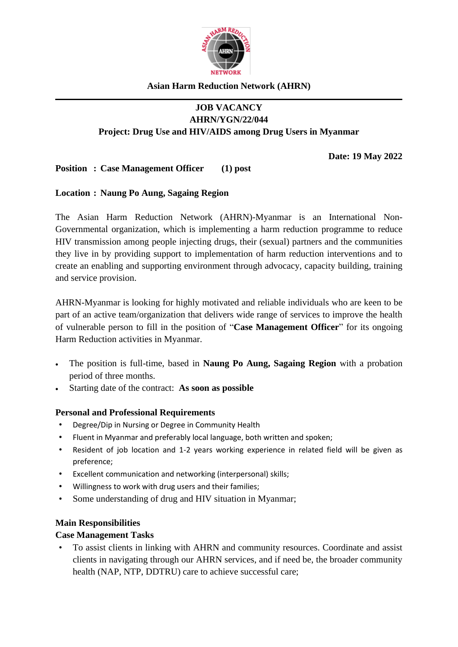

### **Asian Harm Reduction Network (AHRN)**

# **JOB VACANCY AHRN/YGN/22/044 Project: Drug Use and HIV/AIDS among Drug Users in Myanmar**

**Date: 19 May 2022**

# **Position : Case Management Officer (1) post**

#### **Location : Naung Po Aung, Sagaing Region**

The Asian Harm Reduction Network (AHRN)-Myanmar is an International Non-Governmental organization, which is implementing a harm reduction programme to reduce HIV transmission among people injecting drugs, their (sexual) partners and the communities they live in by providing support to implementation of harm reduction interventions and to create an enabling and supporting environment through advocacy, capacity building, training and service provision.

AHRN-Myanmar is looking for highly motivated and reliable individuals who are keen to be part of an active team/organization that delivers wide range of services to improve the health of vulnerable person to fill in the position of "**Case Management Officer**" for its ongoing Harm Reduction activities in Myanmar.

- The position is full-time, based in **Naung Po Aung, Sagaing Region** with a probation period of three months.
- Starting date of the contract: **As soon as possible**

#### **Personal and Professional Requirements**

- Degree/Dip in Nursing or Degree in Community Health
- Fluent in Myanmar and preferably local language, both written and spoken;
- Resident of job location and 1-2 years working experience in related field will be given as preference;
- Excellent communication and networking (interpersonal) skills;
- Willingness to work with drug users and their families;
- Some understanding of drug and HIV situation in Myanmar;

#### **Main Responsibilities**

#### **Case Management Tasks**

• To assist clients in linking with AHRN and community resources. Coordinate and assist clients in navigating through our AHRN services, and if need be, the broader community health (NAP, NTP, DDTRU) care to achieve successful care;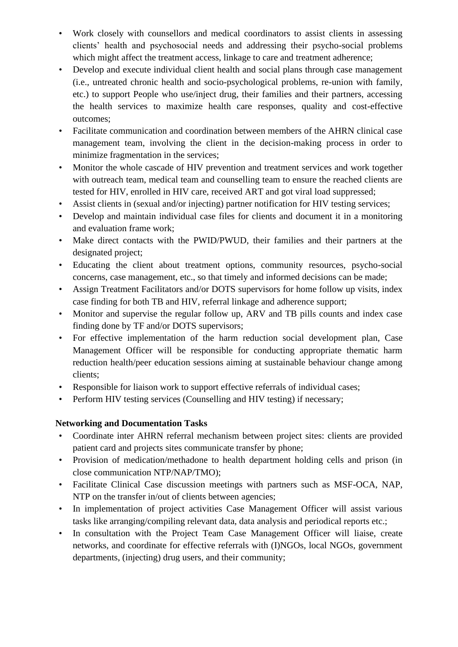- Work closely with counsellors and medical coordinators to assist clients in assessing clients' health and psychosocial needs and addressing their psycho-social problems which might affect the treatment access, linkage to care and treatment adherence;
- Develop and execute individual client health and social plans through case management (i.e., untreated chronic health and socio-psychological problems, re-union with family, etc.) to support People who use/inject drug, their families and their partners, accessing the health services to maximize health care responses, quality and cost-effective outcomes;
- Facilitate communication and coordination between members of the AHRN clinical case management team, involving the client in the decision-making process in order to minimize fragmentation in the services;
- Monitor the whole cascade of HIV prevention and treatment services and work together with outreach team, medical team and counselling team to ensure the reached clients are tested for HIV, enrolled in HIV care, received ART and got viral load suppressed;
- Assist clients in (sexual and/or injecting) partner notification for HIV testing services;
- Develop and maintain individual case files for clients and document it in a monitoring and evaluation frame work;
- Make direct contacts with the PWID/PWUD, their families and their partners at the designated project;
- Educating the client about treatment options, community resources, psycho-social concerns, case management, etc., so that timely and informed decisions can be made;
- Assign Treatment Facilitators and/or DOTS supervisors for home follow up visits, index case finding for both TB and HIV, referral linkage and adherence support;
- Monitor and supervise the regular follow up, ARV and TB pills counts and index case finding done by TF and/or DOTS supervisors;
- For effective implementation of the harm reduction social development plan, Case Management Officer will be responsible for conducting appropriate thematic harm reduction health/peer education sessions aiming at sustainable behaviour change among clients;
- Responsible for liaison work to support effective referrals of individual cases;
- Perform HIV testing services (Counselling and HIV testing) if necessary;

# **Networking and Documentation Tasks**

- Coordinate inter AHRN referral mechanism between project sites: clients are provided patient card and projects sites communicate transfer by phone;
- Provision of medication/methadone to health department holding cells and prison (in close communication NTP/NAP/TMO);
- Facilitate Clinical Case discussion meetings with partners such as MSF-OCA, NAP, NTP on the transfer in/out of clients between agencies;
- In implementation of project activities Case Management Officer will assist various tasks like arranging/compiling relevant data, data analysis and periodical reports etc.;
- In consultation with the Project Team Case Management Officer will liaise, create networks, and coordinate for effective referrals with (I)NGOs, local NGOs, government departments, (injecting) drug users, and their community;